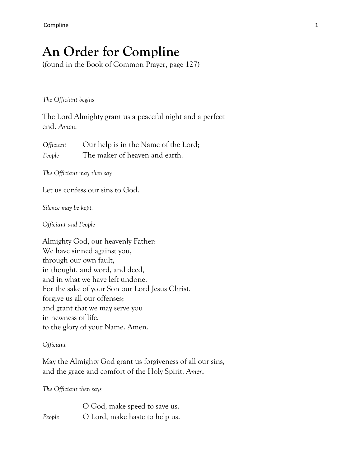# **An Order for Compline**

(found in the Book of Common Prayer, page 127)

*The Officiant begins*

The Lord Almighty grant us a peaceful night and a perfect end. *Amen.*

*Officiant* Our help is in the Name of the Lord; *People* The maker of heaven and earth.

*The Officiant may then say*

Let us confess our sins to God.

*Silence may be kept.*

*Officiant and People*

Almighty God, our heavenly Father: We have sinned against you, through our own fault, in thought, and word, and deed, and in what we have left undone. For the sake of your Son our Lord Jesus Christ, forgive us all our offenses; and grant that we may serve you in newness of life, to the glory of your Name. Amen.

# *Officiant*

May the Almighty God grant us forgiveness of all our sins, and the grace and comfort of the Holy Spirit. *Amen.*

*The Officiant then says*

O God, make speed to save us. *People* **O** Lord, make haste to help us.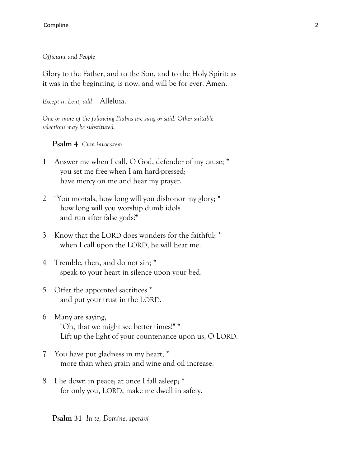*Officiant and People*

Glory to the Father, and to the Son, and to the Holy Spirit: as it was in the beginning, is now, and will be for ever. Amen.

*Except in Lent, add* Alleluia.

*One or more of the following Psalms are sung or said. Other suitable selections may be substituted.*

**Psalm 4** *Cum invocarem*

- 1 Answer me when I call, O God, defender of my cause; \* you set me free when I am hard-pressed; have mercy on me and hear my prayer.
- 2 "You mortals, how long will you dishonor my glory; \* how long will you worship dumb idols and run after false gods?"
- 3 Know that the LORD does wonders for the faithful; \* when I call upon the LORD, he will hear me.
- 4 Tremble, then, and do not sin; \* speak to your heart in silence upon your bed.
- 5 Offer the appointed sacrifices \* and put your trust in the LORD.
- 6 Many are saying, "Oh, that we might see better times!" \* Lift up the light of your countenance upon us, O LORD.
- 7 You have put gladness in my heart, \* more than when grain and wine and oil increase.
- 8 I lie down in peace; at once I fall asleep; \* for only you, LORD, make me dwell in safety.

**Psalm 31** *In te, Domine, speravi*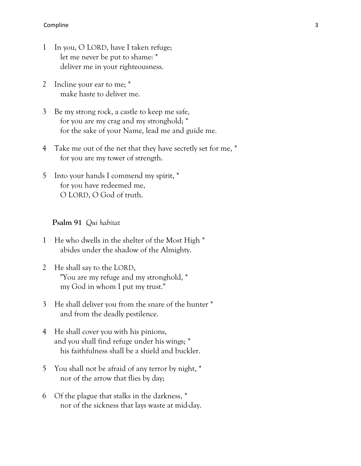- 1 In you, O LORD, have I taken refuge; let me never be put to shame: \* deliver me in your righteousness.
- 2 Incline your ear to me; \* make haste to deliver me.
- 3 Be my strong rock, a castle to keep me safe, for you are my crag and my stronghold; \* for the sake of your Name, lead me and guide me.
- 4 Take me out of the net that they have secretly set for me,  $*$ for you are my tower of strength.
- 5 Into your hands I commend my spirit, \* for you have redeemed me, O LORD, O God of truth.

# **Psalm 91** *Qui habitat*

- 1 He who dwells in the shelter of the Most High \* abides under the shadow of the Almighty.
- 2 He shall say to the LORD, "You are my refuge and my stronghold, \* my God in whom I put my trust."
- 3 He shall deliver you from the snare of the hunter \* and from the deadly pestilence.
- 4 He shall cover you with his pinions, and you shall find refuge under his wings; \* his faithfulness shall be a shield and buckler.
- 5 You shall not be afraid of any terror by night, \* nor of the arrow that flies by day;
- 6 Of the plague that stalks in the darkness, \* nor of the sickness that lays waste at mid-day.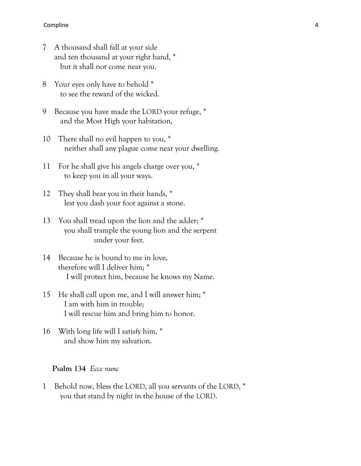- 7 A thousand shall fall at your side and ten thousand at your right hand, \* but it shall not come near you.
- 8 Your eyes only have to behold \* to see the reward of the wicked.
- 9 Because you have made the LORD your refuge, \* and the Most High your habitation,
- 10 There shall no evil happen to you, \* neither shall any plague come near your dwelling.
- 11 For he shall give his angels charge over you, \* to keep you in all your ways.
- 12 They shall bear you in their hands, \* lest you dash your foot against a stone.
- 13 You shall tread upon the lion and the adder; \* you shall trample the young lion and the serpent under your feet.
- 14 Because he is bound to me in love, therefore will I deliver him; \* I will protect him, because he knows my Name.
- 15 He shall call upon me, and I will answer him; \* I am with him in trouble; I will rescue him and bring him to honor.
- 16 With long life will I satisfy him, \* and show him my salvation.

# **Psalm 134** *Ecce nunc*

1 Behold now, bless the LORD, all you servants of the LORD, \* you that stand by night in the house of the LORD.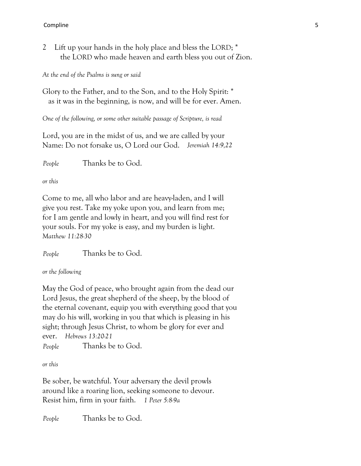2 Lift up your hands in the holy place and bless the LORD; \* the LORD who made heaven and earth bless you out of Zion.

*At the end of the Psalms is sung or said*

Glory to the Father, and to the Son, and to the Holy Spirit: \* as it was in the beginning, is now, and will be for ever. Amen.

*One of the following, or some other suitable passage of Scripture, is read*

Lord, you are in the midst of us, and we are called by your Name: Do not forsake us, O Lord our God. *Jeremiah 14:9,22*

*People* Thanks be to God.

*or this*

Come to me, all who labor and are heavy-laden, and I will give you rest. Take my yoke upon you, and learn from me; for I am gentle and lowly in heart, and you will find rest for your souls. For my yoke is easy, and my burden is light. *Matthew 11:28-30*

*People* Thanks be to God.

*or the following*

May the God of peace, who brought again from the dead our Lord Jesus, the great shepherd of the sheep, by the blood of the eternal covenant, equip you with everything good that you may do his will, working in you that which is pleasing in his sight; through Jesus Christ, to whom be glory for ever and ever. *Hebrews 13:20-21*

*People* Thanks be to God.

*or this*

Be sober, be watchful. Your adversary the devil prowls around like a roaring lion, seeking someone to devour. Resist him, firm in your faith. *1 Peter 5:8-9a*

*People* Thanks be to God.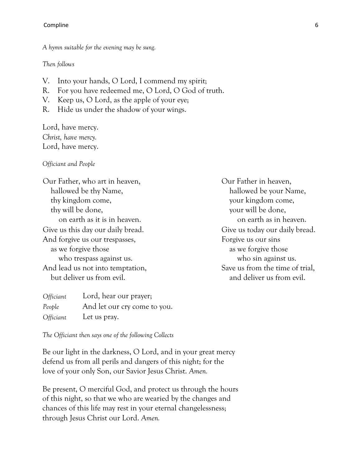*A hymn suitable for the evening may be sung.*

#### *Then follows*

- V. Into your hands, O Lord, I commend my spirit;
- R. For you have redeemed me, O Lord, O God of truth.
- V. Keep us, O Lord, as the apple of your eye;
- R. Hide us under the shadow of your wings.

Lord, have mercy. *Christ, have mercy.* Lord, have mercy.

## *Officiant and People*

Our Father, who art in heaven, hallowed be thy Name, thy kingdom come, thy will be done, on earth as it is in heaven. Give us this day our daily bread. And forgive us our trespasses, as we forgive those who trespass against us. And lead us not into temptation, but deliver us from evil.

| <i>Officiant</i> | Lord, hear our prayer;       |
|------------------|------------------------------|
| People           | And let our cry come to you. |
| <i>Officiant</i> | Let us pray.                 |

Our Father in heaven, hallowed be your Name, your kingdom come, your will be done, on earth as in heaven. Give us today our daily bread. Forgive us our sins as we forgive those who sin against us. Save us from the time of trial, and deliver us from evil.

*The Officiant then says one of the following Collects*

Be our light in the darkness, O Lord, and in your great mercy defend us from all perils and dangers of this night; for the love of your only Son, our Savior Jesus Christ. *Amen.*

Be present, O merciful God, and protect us through the hours of this night, so that we who are wearied by the changes and chances of this life may rest in your eternal changelessness; through Jesus Christ our Lord. *Amen.*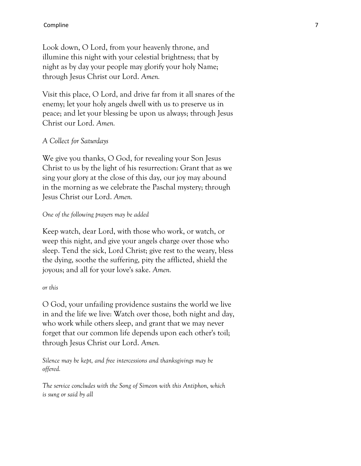Look down, O Lord, from your heavenly throne, and illumine this night with your celestial brightness; that by night as by day your people may glorify your holy Name; through Jesus Christ our Lord. *Amen.*

Visit this place, O Lord, and drive far from it all snares of the enemy; let your holy angels dwell with us to preserve us in peace; and let your blessing be upon us always; through Jesus Christ our Lord. *Amen.*

# *A Collect for Saturdays*

We give you thanks, O God, for revealing your Son Jesus Christ to us by the light of his resurrection: Grant that as we sing your glory at the close of this day, our joy may abound in the morning as we celebrate the Paschal mystery; through Jesus Christ our Lord. *Amen.*

## *One of the following prayers may be added*

Keep watch, dear Lord, with those who work, or watch, or weep this night, and give your angels charge over those who sleep. Tend the sick, Lord Christ; give rest to the weary, bless the dying, soothe the suffering, pity the afflicted, shield the joyous; and all for your love's sake. *Amen.*

## *or this*

O God, your unfailing providence sustains the world we live in and the life we live: Watch over those, both night and day, who work while others sleep, and grant that we may never forget that our common life depends upon each other's toil; through Jesus Christ our Lord. *Amen.*

*Silence may be kept, and free intercessions and thanksgivings may be offered.*

*The service concludes with the Song of Simeon with this Antiphon, which is sung or said by all*